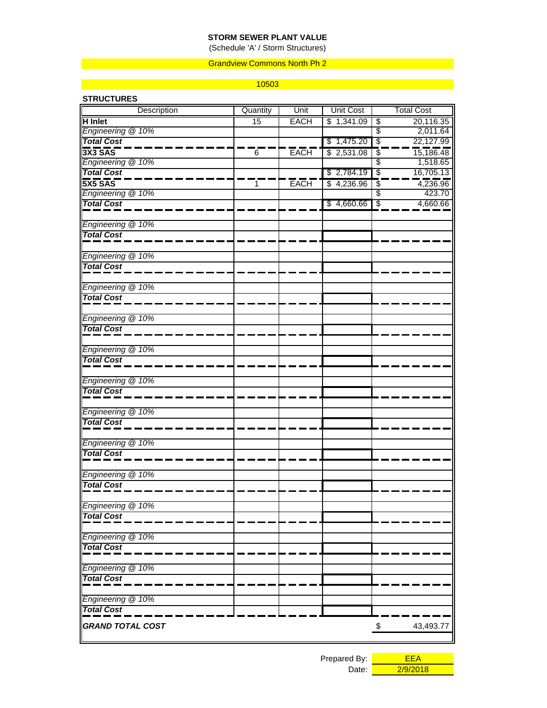## **STORM SEWER PLANT VALUE**

(Schedule 'A' / Storm Structures)

### Grandview Commons North Ph 2

#### 10503

| <b>STRUCTURES</b>                      |          |             |                  |                                       |
|----------------------------------------|----------|-------------|------------------|---------------------------------------|
| Description                            | Quantity | Unit        | <b>Unit Cost</b> | <b>Total Cost</b>                     |
| <b>H</b> Inlet                         | 15       | <b>EACH</b> | \$1,341.09       | $\overline{\mathcal{E}}$<br>20,116.35 |
| Engineering @ 10%                      |          |             |                  | $\overline{\mathcal{E}}$<br>2,011.64  |
| <b>Total Cost</b>                      |          |             | \$1,475.20       | $\overline{\mathcal{E}}$<br>22,127.99 |
| $3X3$ SAS                              | 6        | <b>EACH</b> | \$2,531.08       | 15,186.48<br>\$                       |
| Engineering @ 10%                      |          |             |                  | $\overline{\mathcal{E}}$<br>1,518.65  |
| <b>Total Cost</b>                      |          |             | \$2,784.19       | $\overline{\mathcal{S}}$<br>16,705.13 |
| $5x5$ SAS                              | 1        | <b>EACH</b> | \$4,236.96       | 4,236.96<br>\$                        |
| Engineering @ 10%<br><b>Total Cost</b> |          |             |                  | \$<br>423.70                          |
|                                        |          |             | \$4,660.66       | $\sqrt[6]{3}$<br>4,660.66             |
| Engineering @ 10%                      |          |             |                  |                                       |
| <b>Total Cost</b>                      |          |             |                  |                                       |
| Engineering @ 10%                      |          |             |                  |                                       |
| <b>Total Cost</b>                      |          |             |                  |                                       |
| Engineering @ 10%                      |          |             |                  |                                       |
| <b>Total Cost</b>                      |          |             |                  |                                       |
| Engineering @ 10%                      |          |             |                  |                                       |
| <b>Total Cost</b>                      |          |             |                  |                                       |
| Engineering @ 10%                      |          |             |                  |                                       |
| <b>Total Cost</b>                      |          |             |                  |                                       |
| Engineering @ 10%                      |          |             |                  |                                       |
| <b>Total Cost</b>                      |          |             |                  |                                       |
| Engineering @ 10%                      |          |             |                  |                                       |
| <b>Total Cost</b>                      |          |             |                  |                                       |
| Engineering @ 10%                      |          |             |                  |                                       |
| <b>Total Cost</b>                      |          |             |                  |                                       |
| Engineering @ 10%                      |          |             |                  |                                       |
| <b>Total Cost</b>                      |          |             |                  |                                       |
| Engineering @ 10%                      |          |             |                  |                                       |
| <b>Total Cost</b>                      |          |             |                  |                                       |
| Engineering @ 10%                      |          |             |                  |                                       |
| <b>Total Cost</b>                      |          |             |                  |                                       |
| Engineering @ 10%                      |          |             |                  |                                       |
| <b>Total Cost</b>                      |          |             |                  |                                       |
| Engineering @ 10%                      |          |             |                  |                                       |
| <b>Total Cost</b>                      |          |             |                  |                                       |
| <b>GRAND TOTAL COST</b>                |          |             |                  | $\mathcal{L}$<br>43,493.77            |

Prepared By: **EEA** 

Date: 2/9/2018